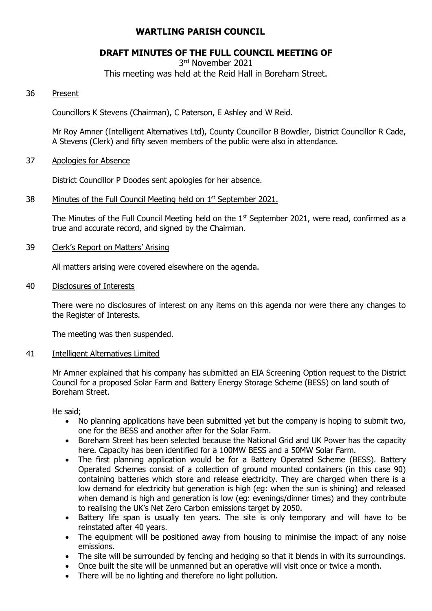# **WARTLING PARISH COUNCIL**

# **DRAFT MINUTES OF THE FULL COUNCIL MEETING OF**

3 rd November 2021

This meeting was held at the Reid Hall in Boreham Street.

## 36 Present

Councillors K Stevens (Chairman), C Paterson, E Ashley and W Reid.

Mr Roy Amner (Intelligent Alternatives Ltd), County Councillor B Bowdler, District Councillor R Cade, A Stevens (Clerk) and fifty seven members of the public were also in attendance.

#### 37 Apologies for Absence

District Councillor P Doodes sent apologies for her absence.

38 Minutes of the Full Council Meeting held on 1<sup>st</sup> September 2021.

The Minutes of the Full Council Meeting held on the  $1<sup>st</sup>$  September 2021, were read, confirmed as a true and accurate record, and signed by the Chairman.

## 39 Clerk's Report on Matters' Arising

All matters arising were covered elsewhere on the agenda.

40 Disclosures of Interests

There were no disclosures of interest on any items on this agenda nor were there any changes to the Register of Interests.

The meeting was then suspended.

#### 41 Intelligent Alternatives Limited

Mr Amner explained that his company has submitted an EIA Screening Option request to the District Council for a proposed Solar Farm and Battery Energy Storage Scheme (BESS) on land south of Boreham Street.

He said;

- No planning applications have been submitted yet but the company is hoping to submit two, one for the BESS and another after for the Solar Farm.
- Boreham Street has been selected because the National Grid and UK Power has the capacity here. Capacity has been identified for a 100MW BESS and a 50MW Solar Farm.
- The first planning application would be for a Battery Operated Scheme (BESS). Battery Operated Schemes consist of a collection of ground mounted containers (in this case 90) containing batteries which store and release electricity. They are charged when there is a low demand for electricity but generation is high (eg: when the sun is shining) and released when demand is high and generation is low (eg: evenings/dinner times) and they contribute to realising the UK's Net Zero Carbon emissions target by 2050.
- Battery life span is usually ten years. The site is only temporary and will have to be reinstated after 40 years.
- The equipment will be positioned away from housing to minimise the impact of any noise emissions.
- The site will be surrounded by fencing and hedging so that it blends in with its surroundings.
- Once built the site will be unmanned but an operative will visit once or twice a month.
- There will be no lighting and therefore no light pollution.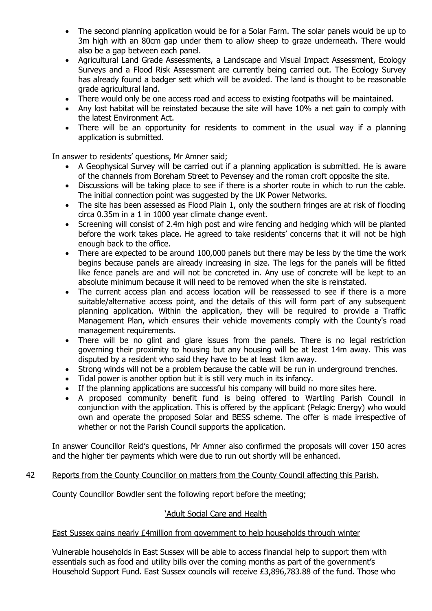- The second planning application would be for a Solar Farm. The solar panels would be up to 3m high with an 80cm gap under them to allow sheep to graze underneath. There would also be a gap between each panel.
- Agricultural Land Grade Assessments, a Landscape and Visual Impact Assessment, Ecology Surveys and a Flood Risk Assessment are currently being carried out. The Ecology Survey has already found a badger sett which will be avoided. The land is thought to be reasonable grade agricultural land.
- There would only be one access road and access to existing footpaths will be maintained.
- Any lost habitat will be reinstated because the site will have 10% a net gain to comply with the latest Environment Act.
- There will be an opportunity for residents to comment in the usual way if a planning application is submitted.

In answer to residents' questions, Mr Amner said;

- A Geophysical Survey will be carried out if a planning application is submitted. He is aware of the channels from Boreham Street to Pevensey and the roman croft opposite the site.
- Discussions will be taking place to see if there is a shorter route in which to run the cable. The initial connection point was suggested by the UK Power Networks.
- The site has been assessed as Flood Plain 1, only the southern fringes are at risk of flooding circa 0.35m in a 1 in 1000 year climate change event.
- Screening will consist of 2.4m high post and wire fencing and hedging which will be planted before the work takes place. He agreed to take residents' concerns that it will not be high enough back to the office.
- There are expected to be around 100,000 panels but there may be less by the time the work begins because panels are already increasing in size. The legs for the panels will be fitted like fence panels are and will not be concreted in. Any use of concrete will be kept to an absolute minimum because it will need to be removed when the site is reinstated.
- The current access plan and access location will be reassessed to see if there is a more suitable/alternative access point, and the details of this will form part of any subsequent planning application. Within the application, they will be required to provide a Traffic Management Plan, which ensures their vehicle movements comply with the County's road management requirements.
- There will be no glint and glare issues from the panels. There is no legal restriction governing their proximity to housing but any housing will be at least 14m away. This was disputed by a resident who said they have to be at least 1km away.
- Strong winds will not be a problem because the cable will be run in underground trenches.
- Tidal power is another option but it is still very much in its infancy.
- If the planning applications are successful his company will build no more sites here.
- A proposed community benefit fund is being offered to Wartling Parish Council in conjunction with the application. This is offered by the applicant (Pelagic Energy) who would own and operate the proposed Solar and BESS scheme. The offer is made irrespective of whether or not the Parish Council supports the application.

In answer Councillor Reid's questions, Mr Amner also confirmed the proposals will cover 150 acres and the higher tier payments which were due to run out shortly will be enhanced.

#### 42 Reports from the County Councillor on matters from the County Council affecting this Parish.

County Councillor Bowdler sent the following report before the meeting;

#### 'Adult Social Care and Health

### East Sussex gains nearly £4million from government to help households through winter

Vulnerable households in East Sussex will be able to access financial help to support them with essentials such as food and utility bills over the coming months as part of the government's Household Support Fund. East Sussex councils will receive £3,896,783.88 of the fund. Those who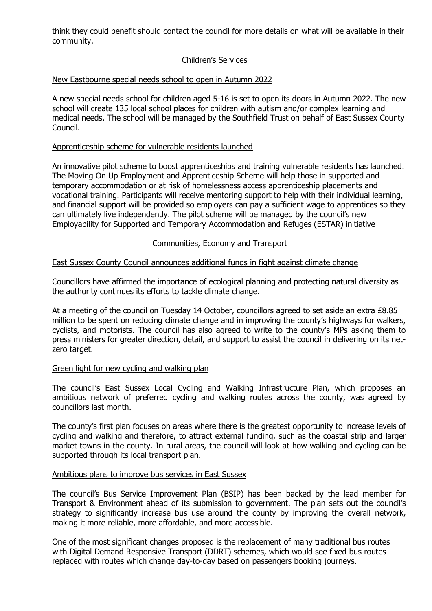think they could benefit should contact the council for more details on what will be available in their community.

## Children's Services

### New Eastbourne special needs school to open in Autumn 2022

A new special needs school for children aged 5-16 is set to open its doors in Autumn 2022. The new school will create 135 local school places for children with autism and/or complex learning and medical needs. The school will be managed by the Southfield Trust on behalf of East Sussex County Council.

### Apprenticeship scheme for vulnerable residents launched

An innovative pilot scheme to boost apprenticeships and training vulnerable residents has launched. The Moving On Up Employment and Apprenticeship Scheme will help those in supported and temporary accommodation or at risk of homelessness access apprenticeship placements and vocational training. Participants will receive mentoring support to help with their individual learning, and financial support will be provided so employers can pay a sufficient wage to apprentices so they can ultimately live independently. The pilot scheme will be managed by the council's new Employability for Supported and Temporary Accommodation and Refuges (ESTAR) initiative

#### Communities, Economy and Transport

#### East Sussex County Council announces additional funds in fight against climate change

Councillors have affirmed the importance of ecological planning and protecting natural diversity as the authority continues its efforts to tackle climate change.

At a meeting of the council on Tuesday 14 October, councillors agreed to set aside an extra £8.85 million to be spent on reducing climate change and in improving the county's highways for walkers, cyclists, and motorists. The council has also agreed to write to the county's MPs asking them to press ministers for greater direction, detail, and support to assist the council in delivering on its netzero target.

#### Green light for new cycling and walking plan

The council's East Sussex Local Cycling and Walking Infrastructure Plan, which proposes an ambitious network of preferred cycling and walking routes across the county, was agreed by councillors last month.

The county's first plan focuses on areas where there is the greatest opportunity to increase levels of cycling and walking and therefore, to attract external funding, such as the coastal strip and larger market towns in the county. In rural areas, the council will look at how walking and cycling can be supported through its local transport plan.

#### Ambitious plans to improve bus services in East Sussex

The council's Bus Service Improvement Plan (BSIP) has been backed by the lead member for Transport & Environment ahead of its submission to government. The plan sets out the council's strategy to significantly increase bus use around the county by improving the overall network, making it more reliable, more affordable, and more accessible.

One of the most significant changes proposed is the replacement of many traditional bus routes with Digital Demand Responsive Transport (DDRT) schemes, which would see fixed bus routes replaced with routes which change day-to-day based on passengers booking journeys.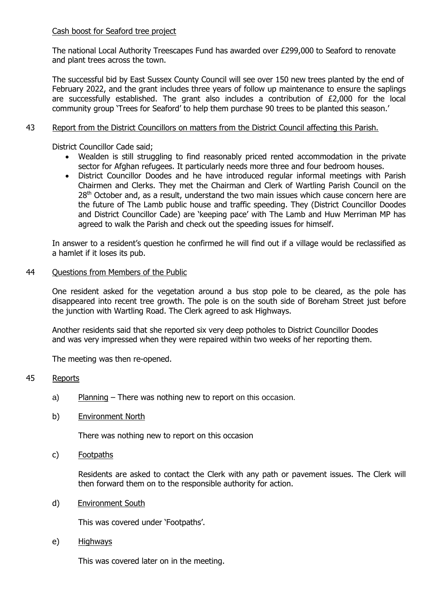## Cash boost for Seaford tree project

The national Local Authority Treescapes Fund has awarded over £299,000 to Seaford to renovate and plant trees across the town.

The successful bid by East Sussex County Council will see over 150 new trees planted by the end of February 2022, and the grant includes three years of follow up maintenance to ensure the saplings are successfully established. The grant also includes a contribution of £2,000 for the local community group 'Trees for Seaford' to help them purchase 90 trees to be planted this season.'

## 43 Report from the District Councillors on matters from the District Council affecting this Parish.

District Councillor Cade said;

- Wealden is still struggling to find reasonably priced rented accommodation in the private sector for Afghan refugees. It particularly needs more three and four bedroom houses.
- District Councillor Doodes and he have introduced regular informal meetings with Parish Chairmen and Clerks. They met the Chairman and Clerk of Wartling Parish Council on the  $28<sup>th</sup>$  October and, as a result, understand the two main issues which cause concern here are the future of The Lamb public house and traffic speeding. They (District Councillor Doodes and District Councillor Cade) are 'keeping pace' with The Lamb and Huw Merriman MP has agreed to walk the Parish and check out the speeding issues for himself.

In answer to a resident's question he confirmed he will find out if a village would be reclassified as a hamlet if it loses its pub.

## 44 Questions from Members of the Public

One resident asked for the vegetation around a bus stop pole to be cleared, as the pole has disappeared into recent tree growth. The pole is on the south side of Boreham Street just before the junction with Wartling Road. The Clerk agreed to ask Highways.

Another residents said that she reported six very deep potholes to District Councillor Doodes and was very impressed when they were repaired within two weeks of her reporting them.

The meeting was then re-opened.

## 45 Reports

- a) Planning There was nothing new to report on this occasion.
- b) Environment North

There was nothing new to report on this occasion

c) Footpaths

Residents are asked to contact the Clerk with any path or pavement issues. The Clerk will then forward them on to the responsible authority for action.

d) Environment South

This was covered under 'Footpaths'.

e) Highways

This was covered later on in the meeting.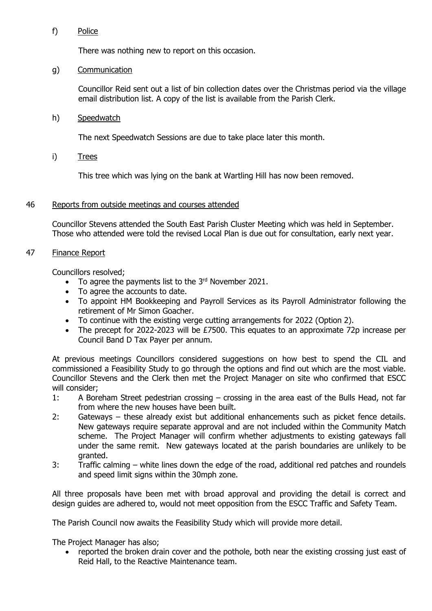## f) Police

There was nothing new to report on this occasion.

## g) Communication

Councillor Reid sent out a list of bin collection dates over the Christmas period via the village email distribution list. A copy of the list is available from the Parish Clerk.

h) Speedwatch

The next Speedwatch Sessions are due to take place later this month.

i) Trees

This tree which was lying on the bank at Wartling Hill has now been removed.

## 46 Reports from outside meetings and courses attended

Councillor Stevens attended the South East Parish Cluster Meeting which was held in September. Those who attended were told the revised Local Plan is due out for consultation, early next year.

## 47 Finance Report

Councillors resolved;

- To agree the payments list to the  $3<sup>rd</sup>$  November 2021.
- To agree the accounts to date.
- To appoint HM Bookkeeping and Payroll Services as its Payroll Administrator following the retirement of Mr Simon Goacher.
- To continue with the existing verge cutting arrangements for 2022 (Option 2).
- The precept for 2022-2023 will be £7500. This equates to an approximate 72p increase per Council Band D Tax Payer per annum.

At previous meetings Councillors considered suggestions on how best to spend the CIL and commissioned a Feasibility Study to go through the options and find out which are the most viable. Councillor Stevens and the Clerk then met the Project Manager on site who confirmed that ESCC will consider;

- 1: A Boreham Street pedestrian crossing crossing in the area east of the Bulls Head, not far from where the new houses have been built.
- 2: Gateways these already exist but additional enhancements such as picket fence details. New gateways require separate approval and are not included within the Community Match scheme. The Project Manager will confirm whether adjustments to existing gateways fall under the same remit. New gateways located at the parish boundaries are unlikely to be granted.
- 3: Traffic calming white lines down the edge of the road, additional red patches and roundels and speed limit signs within the 30mph zone.

All three proposals have been met with broad approval and providing the detail is correct and design guides are adhered to, would not meet opposition from the ESCC Traffic and Safety Team.

The Parish Council now awaits the Feasibility Study which will provide more detail.

The Project Manager has also;

reported the broken drain cover and the pothole, both near the existing crossing just east of Reid Hall, to the Reactive Maintenance team.